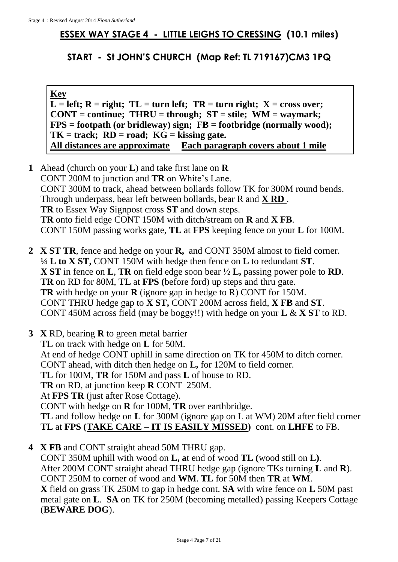## **ESSEX WAY STAGE 4 - LITTLE LEIGHS TO CRESSING (10.1 miles)**

**START - St JOHN'S CHURCH (Map Ref: TL 719167)CM3 1PQ**

**Key**  $L = left$ ;  $R = right$ ;  $TL = turn left$ ;  $TR = turn right$ ;  $X = cross over$ ; **CONT = continue; THRU = through; ST = stile; WM = waymark; FPS = footpath (or bridleway) sign; FB = footbridge (normally wood); TK = track; RD = road; KG = kissing gate. All distances are approximate Each paragraph covers about 1 mile**

- **1** Ahead (church on your **L**) and take first lane on **R** CONT 200M to junction and **TR** on White's Lane. CONT 300M to track, ahead between bollards follow TK for 300M round bends. Through underpass, bear left between bollards, bear R and **X RD** . **TR** to Essex Way Signpost cross **ST** and down steps. **TR** onto field edge CONT 150M with ditch/stream on **R** and **X FB**. CONT 150M passing works gate, **TL** at **FPS** keeping fence on your **L** for 100M.
- **2 X ST TR**, fence and hedge on your **R,** and CONT 350M almost to field corner. **¼ L to X ST,** CONT 150M with hedge then fence on **L** to redundant **ST**. **X ST** in fence on **L**, **TR** on field edge soon bear ½ **L,** passing power pole to **RD**. **TR** on RD for 80M, **TL** at **FPS (**before ford) up steps and thru gate. **TR** with hedge on your **R** (ignore gap in hedge to R) CONT for 150M. CONT THRU hedge gap to **X ST,** CONT 200M across field, **X FB** and **ST**. CONT 450M across field (may be boggy!!) with hedge on your **L** & **X ST** to RD.
- **3 X** RD, bearing **R** to green metal barrier **TL** on track with hedge on **L** for 50M. At end of hedge CONT uphill in same direction on TK for 450M to ditch corner. CONT ahead, with ditch then hedge on **L,** for 120M to field corner. **TL** for 100M, **TR** for 150M and pass **L** of house to RD. **TR** on RD, at junction keep **R** CONT 250M. At **FPS TR** (just after Rose Cottage). CONT with hedge on **R** for 100M, **TR** over earthbridge. **TL** and follow hedge on **L** for 300M (ignore gap on L at WM) 20M after field corner **TL** at **FPS (TAKE CARE – IT IS EASILY MISSED)** cont. on **LHFE** to FB.
- **4 X FB** and CONT straight ahead 50M THRU gap. CONT 350M uphill with wood on **L, a**t end of wood **TL (**wood still on **L)**. After 200M CONT straight ahead THRU hedge gap (ignore TKs turning **L** and **R**). CONT 250M to corner of wood and **WM**. **TL** for 50M then **TR** at **WM**. **X** field on grass TK 250M to gap in hedge cont. **SA** with wire fence on **L** 50M past metal gate on **L**. **SA** on TK for 250M (becoming metalled) passing Keepers Cottage (**BEWARE DOG**).